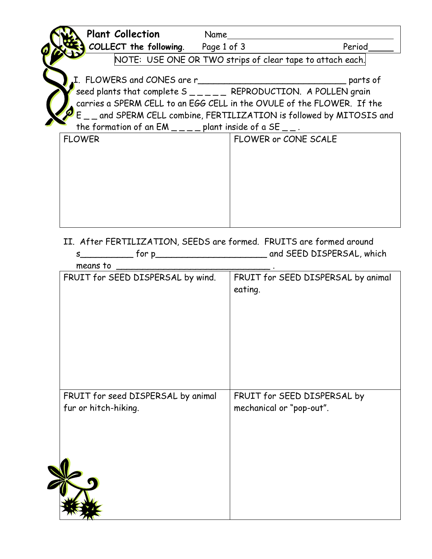| <b>Plant Collection</b>                                                                                                                                                                                                     | Name |                      |  |  |  |  |  |
|-----------------------------------------------------------------------------------------------------------------------------------------------------------------------------------------------------------------------------|------|----------------------|--|--|--|--|--|
| <b>COLLECT the following.</b> Page 1 of 3                                                                                                                                                                                   |      | Period               |  |  |  |  |  |
| NOTE: USE ONE OR TWO strips of clear tape to attach each.                                                                                                                                                                   |      |                      |  |  |  |  |  |
| parts of<br>carries a SPERM CELL to an EGG CELL in the OVULE of the FLOWER. If the<br>E _ _ and SPERM CELL combine, FERTILIZATION is followed by MITOSIS and<br>the formation of an $EM_{---}$ plant inside of a SE $---$ . |      |                      |  |  |  |  |  |
| <b>FLOWER</b>                                                                                                                                                                                                               |      | FLOWER or CONE SCALE |  |  |  |  |  |
|                                                                                                                                                                                                                             |      |                      |  |  |  |  |  |
|                                                                                                                                                                                                                             |      |                      |  |  |  |  |  |
|                                                                                                                                                                                                                             |      |                      |  |  |  |  |  |
|                                                                                                                                                                                                                             |      |                      |  |  |  |  |  |
|                                                                                                                                                                                                                             |      |                      |  |  |  |  |  |
|                                                                                                                                                                                                                             |      |                      |  |  |  |  |  |

II. After FERTILIZATION, SEEDS are formed. FRUITS are formed around s\_\_\_\_\_\_\_\_\_\_ for p\_\_\_\_\_\_\_\_\_\_\_\_\_\_\_\_\_\_\_\_\_ and SEED DISPERSAL, which

| means to                                                   |                                                         |
|------------------------------------------------------------|---------------------------------------------------------|
| FRUIT for SEED DISPERSAL by wind.                          | FRUIT for SEED DISPERSAL by animal<br>eating.           |
| FRUIT for seed DISPERSAL by animal<br>fur or hitch-hiking. | FRUIT for SEED DISPERSAL by<br>mechanical or "pop-out". |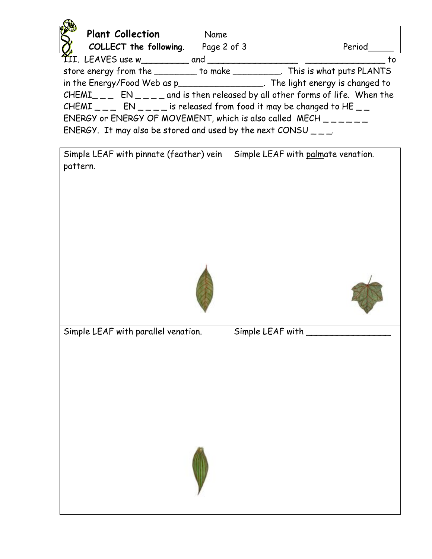| <b>Plant Collection</b><br>Name                                                          |                                                                                    |  |  |  |  |  |  |
|------------------------------------------------------------------------------------------|------------------------------------------------------------------------------------|--|--|--|--|--|--|
| COLLECT the following.                                                                   | Page 2 of 3<br>Period                                                              |  |  |  |  |  |  |
|                                                                                          | to                                                                                 |  |  |  |  |  |  |
|                                                                                          | store energy from the _________ to make ___________. This is what puts PLANTS      |  |  |  |  |  |  |
|                                                                                          | in the Energy/Food Web as p<br>Fhe light energy is changed to                      |  |  |  |  |  |  |
|                                                                                          | $CHEMI_{---}$ $EN_{---}$ and is then released by all other forms of life. When the |  |  |  |  |  |  |
| CHEMI $\_\_$ EN $\_\_$ is released from food it may be changed to HE $\_\_$              |                                                                                    |  |  |  |  |  |  |
|                                                                                          |                                                                                    |  |  |  |  |  |  |
| ENERGY. It may also be stored and used by the next CONSU $_{- -}$ .                      |                                                                                    |  |  |  |  |  |  |
|                                                                                          |                                                                                    |  |  |  |  |  |  |
| $\mid$ Simple LEAF with pinnate (feather) vein $\mid$ Simple LEAF with palmate venation. |                                                                                    |  |  |  |  |  |  |

| Simple LEAF with pinnate (feather) vein | Simple LEAF with palmate venation. |  |
|-----------------------------------------|------------------------------------|--|
| pattern.                                |                                    |  |
|                                         |                                    |  |
|                                         |                                    |  |
|                                         |                                    |  |
|                                         |                                    |  |
|                                         |                                    |  |
|                                         |                                    |  |
| Simple LEAF with parallel venation.     | Simple LEAF with                   |  |
|                                         |                                    |  |
|                                         |                                    |  |
|                                         |                                    |  |
|                                         |                                    |  |
|                                         |                                    |  |
|                                         |                                    |  |
|                                         |                                    |  |